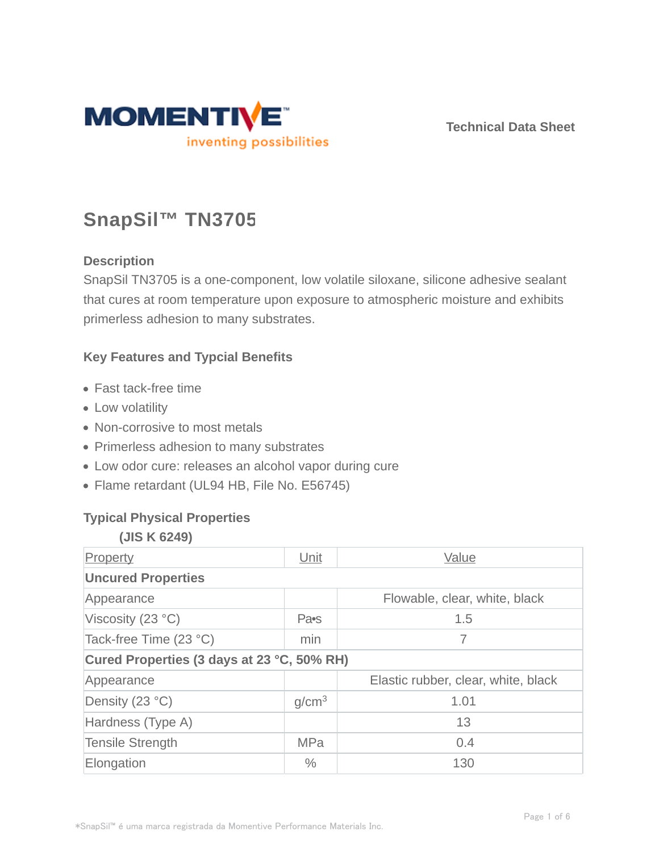

**Technical Data Sheet**

# **SnapSil™ TN3705**

# **Description**

SnapSil TN3705 is a one-component, low volatile siloxane, silicone adhesive sealant that cures at room temperature upon exposure to atmospheric moisture and exhibits primerless adhesion to many substrates.

# **Key Features and Typcial Benefits**

- Fast tack-free time
- Low volatility
- Non-corrosive to most metals
- Primerless adhesion to many substrates
- Low odor cure: releases an alcohol vapor during cure
- Flame retardant (UL94 HB, File No. E56745)

# **Typical Physical Properties**

#### **(JIS K 6249)**

| Property                                   | Unit              | Value                               |  |  |
|--------------------------------------------|-------------------|-------------------------------------|--|--|
| <b>Uncured Properties</b>                  |                   |                                     |  |  |
| Appearance                                 |                   | Flowable, clear, white, black       |  |  |
| Viscosity (23 °C)                          | Pa•s              | 1.5                                 |  |  |
| Tack-free Time (23 °C)                     | min               | 7                                   |  |  |
| Cured Properties (3 days at 23 °C, 50% RH) |                   |                                     |  |  |
| Appearance                                 |                   | Elastic rubber, clear, white, black |  |  |
| Density (23 °C)                            | g/cm <sup>3</sup> | 1.01                                |  |  |
| Hardness (Type A)                          |                   | 13                                  |  |  |
| <b>Tensile Strength</b>                    | <b>MPa</b>        | 0.4                                 |  |  |
| Elongation                                 | $\frac{0}{0}$     | 130                                 |  |  |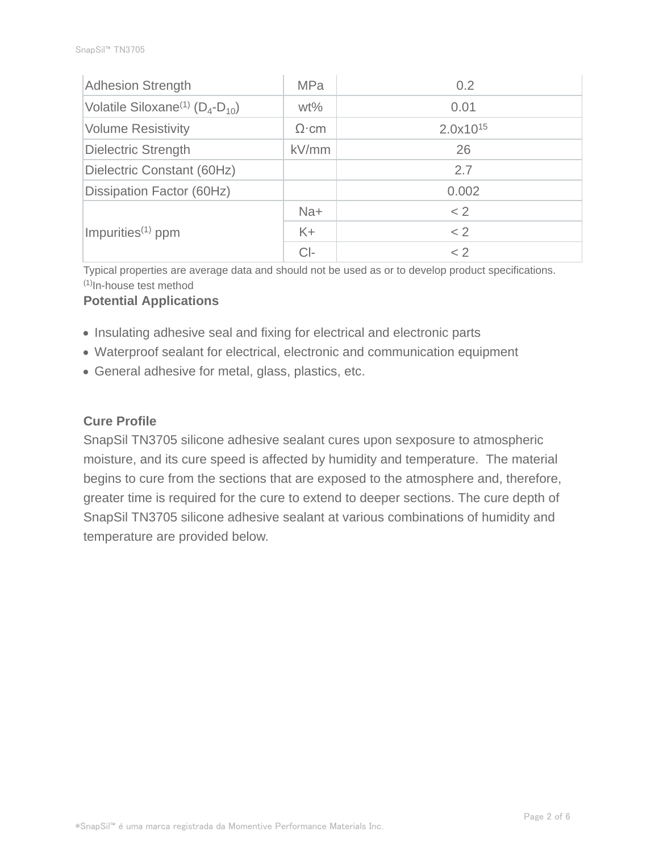| <b>Adhesion Strength</b>                              | <b>MPa</b>   | 0.2           |
|-------------------------------------------------------|--------------|---------------|
| Volatile Siloxane <sup>(1)</sup> ( $D_4$ - $D_{10}$ ) | $wt\%$       | 0.01          |
| <b>Volume Resistivity</b>                             | $\Omega$ ·cm | $2.0x10^{15}$ |
| <b>Dielectric Strength</b>                            | kV/mm        | 26            |
| Dielectric Constant (60Hz)                            |              | 2.7           |
| Dissipation Factor (60Hz)                             |              | 0.002         |
|                                                       | $Na+$        | < 2           |
| Impurities $(1)$ ppm                                  | $K +$        | < 2           |
|                                                       | $Cl-$        | < 2           |

Typical properties are average data and should not be used as or to develop product specifications.  $(1)$ In-house test method

#### **Potential Applications**

- Insulating adhesive seal and fixing for electrical and electronic parts
- Waterproof sealant for electrical, electronic and communication equipment
- General adhesive for metal, glass, plastics, etc.

#### **Cure Profile**

SnapSil TN3705 silicone adhesive sealant cures upon sexposure to atmospheric moisture, and its cure speed is affected by humidity and temperature. The material begins to cure from the sections that are exposed to the atmosphere and, therefore, greater time is required for the cure to extend to deeper sections. The cure depth of SnapSil TN3705 silicone adhesive sealant at various combinations of humidity and temperature are provided below.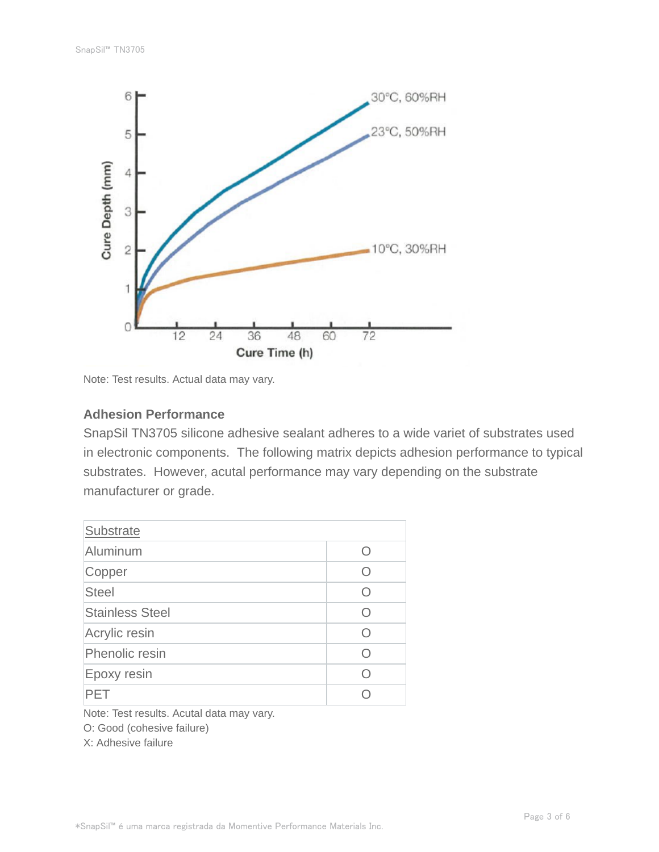

Note: Test results. Actual data may vary.

#### **Adhesion Performance**

SnapSil TN3705 silicone adhesive sealant adheres to a wide variet of substrates used in electronic components. The following matrix depicts adhesion performance to typical substrates. However, acutal performance may vary depending on the substrate manufacturer or grade.

| <b>Substrate</b>       |           |
|------------------------|-----------|
| Aluminum               | ( )       |
| Copper                 | Ω         |
| <b>Steel</b>           | Ω         |
| <b>Stainless Steel</b> | ( )       |
| Acrylic resin          | $\cap$    |
| Phenolic resin         | $\bigcap$ |
| Epoxy resin            | Ω         |
| PFT                    |           |

Note: Test results. Acutal data may vary.

O: Good (cohesive failure)

X: Adhesive failure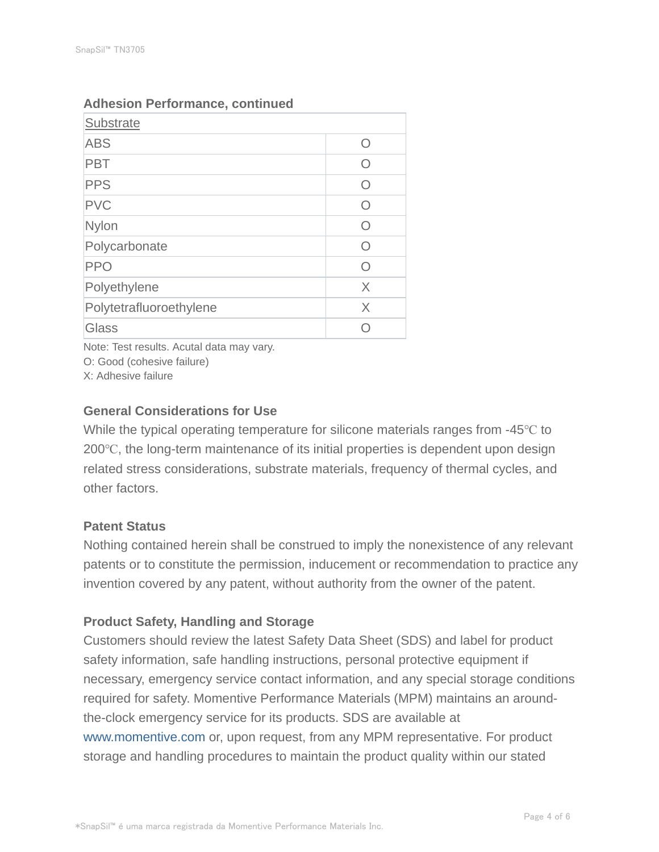| Substrate               |            |
|-------------------------|------------|
| <b>ABS</b>              | O          |
| <b>PBT</b>              | O          |
| <b>PPS</b>              | ∩          |
| <b>PVC</b>              | O          |
| Nylon                   | $\bigcirc$ |
| Polycarbonate           | $\cap$     |
| <b>PPO</b>              | Ω          |
| Polyethylene            | X          |
| Polytetrafluoroethylene | $\times$   |
| Glass                   |            |

# **Adhesion Performance, continued**

Note: Test results. Acutal data may vary.

O: Good (cohesive failure)

X: Adhesive failure

# **General Considerations for Use**

While the typical operating temperature for silicone materials ranges from -45℃ to 200℃, the long-term maintenance of its initial properties is dependent upon design related stress considerations, substrate materials, frequency of thermal cycles, and other factors.

# **Patent Status**

Nothing contained herein shall be construed to imply the nonexistence of any relevant patents or to constitute the permission, inducement or recommendation to practice any invention covered by any patent, without authority from the owner of the patent.

# **Product Safety, Handling and Storage**

Customers should review the latest Safety Data Sheet (SDS) and label for product safety information, safe handling instructions, personal protective equipment if necessary, emergency service contact information, and any special storage conditions required for safety. Momentive Performance Materials (MPM) maintains an aroundthe-clock emergency service for its products. SDS are available at www.momentive.com or, upon request, from any MPM representative. For product storage and handling procedures to maintain the product quality within our stated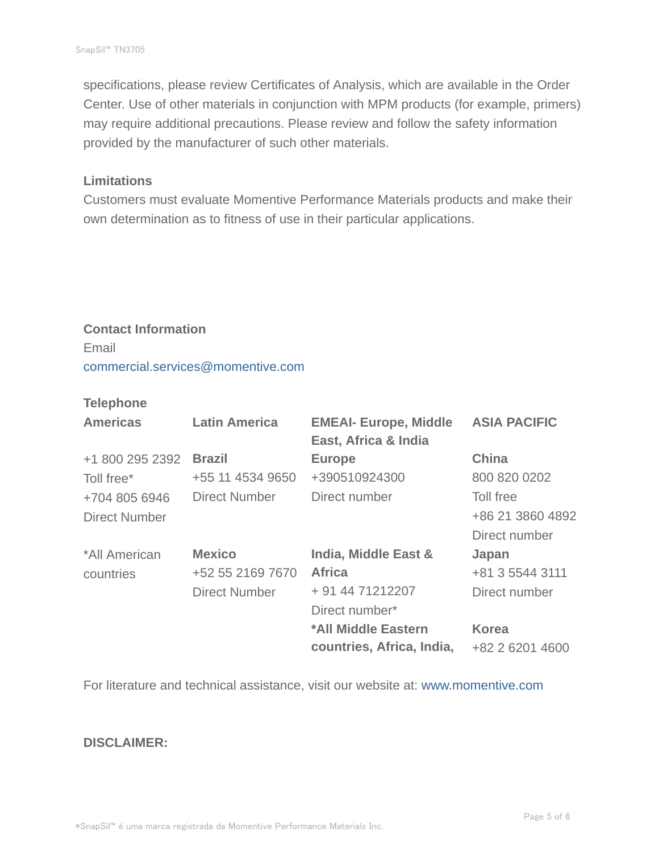specifications, please review Certificates of Analysis, which are available in the Order Center. Use of other materials in conjunction with MPM products (for example, primers) may require additional precautions. Please review and follow the safety information provided by the manufacturer of such other materials.

#### **Limitations**

Customers must evaluate Momentive Performance Materials products and make their own determination as to fitness of use in their particular applications.

# **Contact Information** Email commercial.services@momentive.com

# **Telephone**

| <b>Americas</b>      | <b>Latin America</b> | <b>EMEAI- Europe, Middle</b><br>East, Africa & India | <b>ASIA PACIFIC</b> |
|----------------------|----------------------|------------------------------------------------------|---------------------|
| +1 800 295 2392      | <b>Brazil</b>        | <b>Europe</b>                                        | <b>China</b>        |
| Toll free*           | +55 11 4534 9650     | +390510924300                                        | 800 820 0202        |
| +704 805 6946        | <b>Direct Number</b> | Direct number                                        | Toll free           |
| <b>Direct Number</b> |                      |                                                      | +86 21 3860 4892    |
|                      |                      |                                                      | Direct number       |
| *All American        | <b>Mexico</b>        | <b>India, Middle East &amp;</b>                      | Japan               |
| countries            | +52 55 2169 7670     | <b>Africa</b>                                        | +81 3 5544 3111     |
|                      | <b>Direct Number</b> | + 91 44 71212207                                     | Direct number       |
|                      |                      | Direct number*                                       |                     |
|                      |                      | *All Middle Eastern                                  | <b>Korea</b>        |
|                      |                      | countries, Africa, India,                            | +82 2 6201 4600     |

For literature and technical assistance, visit our website at: www.momentive.com

#### **DISCLAIMER:**